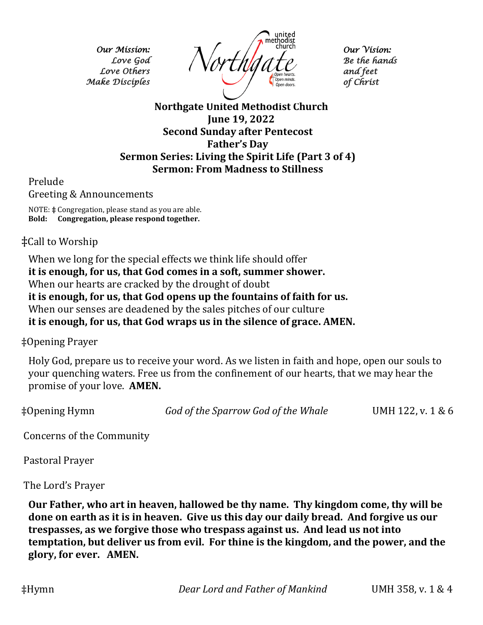*Our Mission: Love God Love Others Make Disciples* 



*Our Vision: Be the hands and feet of Christ* 

**Northgate United Methodist Church June 19, 2022 Second Sunday after Pentecost Father's Day Sermon Series: Living the Spirit Life (Part 3 of 4) Sermon: From Madness to Stillness**

Prelude

Greeting & Announcements

NOTE: **‡** Congregation, please stand as you are able. **Bold: Congregation, please respond together.**

## ‡Call to Worship

When we long for the special effects we think life should offer **it is enough, for us, that God comes in a soft, summer shower.** When our hearts are cracked by the drought of doubt **it is enough, for us, that God opens up the fountains of faith for us.** When our senses are deadened by the sales pitches of our culture **it is enough, for us, that God wraps us in the silence of grace. AMEN.**

‡Opening Prayer

Holy God, prepare us to receive your word. As we listen in faith and hope, open our souls to your quenching waters. Free us from the confinement of our hearts, that we may hear the promise of your love. **AMEN.**

‡Opening Hymn *God of the Sparrow God of the Whale* UMH 122, v. 1 & 6

Concerns of the Community

Pastoral Prayer

The Lord's Prayer

**Our Father, who art in heaven, hallowed be thy name. Thy kingdom come, thy will be done on earth as it is in heaven. Give us this day our daily bread. And forgive us our trespasses, as we forgive those who trespass against us. And lead us not into temptation, but deliver us from evil. For thine is the kingdom, and the power, and the glory, for ever. AMEN.**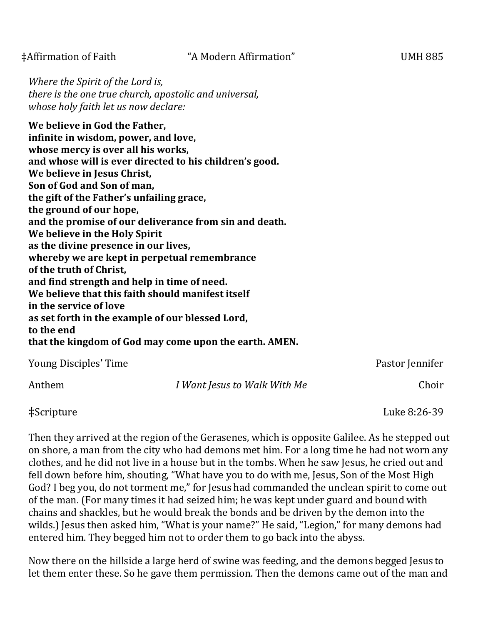*Where the Spirit of the Lord is, there is the one true church, apostolic and universal, whose holy faith let us now declare:*

**We believe in God the Father, infinite in wisdom, power, and love, whose mercy is over all his works, and whose will is ever directed to his children's good. We believe in Jesus Christ, Son of God and Son of man, the gift of the Father's unfailing grace, the ground of our hope, and the promise of our deliverance from sin and death. We believe in the Holy Spirit as the divine presence in our lives, whereby we are kept in perpetual remembrance of the truth of Christ, and find strength and help in time of need. We believe that this faith should manifest itself in the service of love as set forth in the example of our blessed Lord, to the end that the kingdom of God may come upon the earth. AMEN.** 

| Young Disciples' Time |                              | Pastor Jennifer |
|-----------------------|------------------------------|-----------------|
| Anthem                | I Want Jesus to Walk With Me | Choir           |

‡Scripture Luke 8:26-39

Then they arrived at the region of the Gerasenes, which is opposite Galilee. As he stepped out on shore, a man from the city who had demons met him. For a long time he had not worn any clothes, and he did not live in a house but in the tombs. When he saw Jesus, he cried out and fell down before him, shouting, "What have you to do with me, Jesus, Son of the Most High God? I beg you, do not torment me," for Jesus had commanded the unclean spirit to come out of the man. (For many times it had seized him; he was kept under guard and bound with chains and shackles, but he would break the bonds and be driven by the demon into the wilds.) Jesus then asked him, "What is your name?" He said, "Legion," for many demons had entered him. They begged him not to order them to go back into the abyss.

Now there on the hillside a large herd of swine was feeding, and the demons begged Jesus to let them enter these. So he gave them permission. Then the demons came out of the man and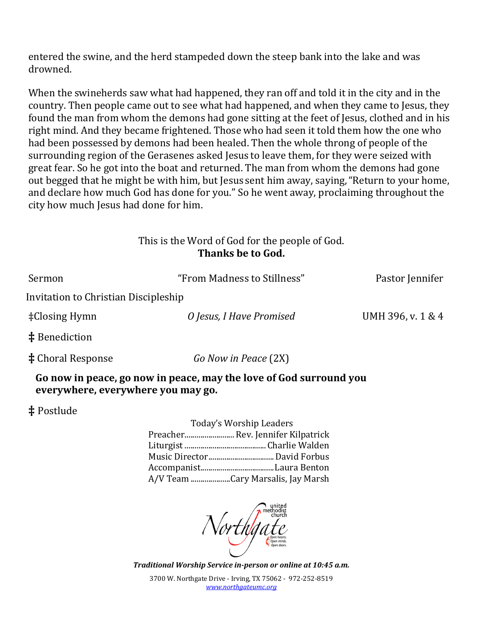entered the swine, and the herd stampeded down the steep bank into the lake and was drowned.

When the swineherds saw what had happened, they ran off and told it in the city and in the country. Then people came out to see what had happened, and when they came to Jesus, they found the man from whom the demons had gone sitting at the feet of Jesus, clothed and in his right mind. And they became frightened. Those who had seen it told them how the one who had been possessed by demons had been healed. Then the whole throng of people of the surrounding region of the Gerasenes asked Jesus to leave them, for they were seized with great fear. So he got into the boat and returned. The man from whom the demons had gone out begged that he might be with him, but Jesus sent him away, saying,"Return to your home, and declare how much God has done for you." So he went away, proclaiming throughout the city how much Jesus had done for him.

> This is the Word of God for the people of God. **Thanks be to God.**

| Sermon                               | "From Madness to Stillness" | Pastor Jennifer   |
|--------------------------------------|-----------------------------|-------------------|
| Invitation to Christian Discipleship |                             |                   |
| $\pm$ Closing Hymn                   | O Jesus, I Have Promised    | UMH 396, v. 1 & 4 |
| $\ddagger$ Benediction               |                             |                   |
| <b>‡</b> Choral Response             | Go Now in Peace (2X)        |                   |

**Go now in peace, go now in peace, may the love of God surround you everywhere, everywhere you may go.**

**‡** Postlude

| Today's Worship Leaders           |  |
|-----------------------------------|--|
| Preacher Rev. Jennifer Kilpatrick |  |
|                                   |  |
| Music DirectorDavid Forbus        |  |
|                                   |  |
| A/V Team Cary Marsalis, Jay Marsh |  |

*Northlg* 

*Traditional Worship Service in-person or online at 10:45 a.m.* 

3700 W. Northgate Drive - Irving, TX 75062 - 972-252-8519 *[www.northgateumc.org](http://www.northgateumc.org/)*